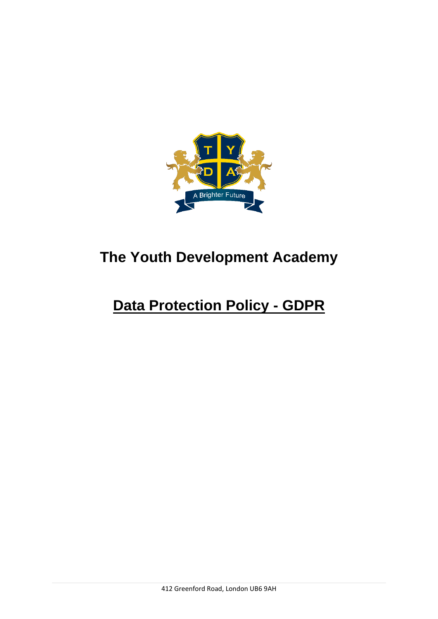

# **The Youth Development Academy**

# **Data Protection Policy - GDPR**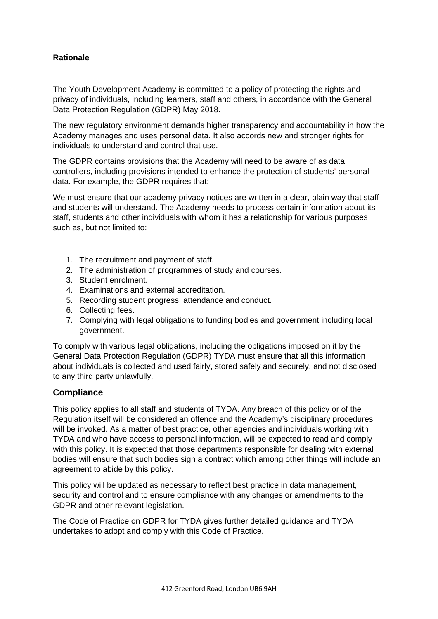## **Rationale**

The Youth Development Academy is committed to a policy of protecting the rights and privacy of individuals, including learners, staff and others, in accordance with the General Data Protection Regulation (GDPR) May 2018.

The new regulatory environment demands higher transparency and accountability in how the Academy manages and uses personal data. It also accords new and stronger rights for individuals to understand and control that use.

The GDPR contains provisions that the Academy will need to be aware of as data controllers, including provisions intended to enhance the protection of students' personal data. For example, the GDPR requires that:

We must ensure that our academy privacy notices are written in a clear, plain way that staff and students will understand. The Academy needs to process certain information about its staff, students and other individuals with whom it has a relationship for various purposes such as, but not limited to:

- 1. The recruitment and payment of staff.
- 2. The administration of programmes of study and courses.
- 3. Student enrolment.
- 4. Examinations and external accreditation.
- 5. Recording student progress, attendance and conduct.
- 6. Collecting fees.
- 7. Complying with legal obligations to funding bodies and government including local government.

To comply with various legal obligations, including the obligations imposed on it by the General Data Protection Regulation (GDPR) TYDA must ensure that all this information about individuals is collected and used fairly, stored safely and securely, and not disclosed to any third party unlawfully.

## **Compliance**

This policy applies to all staff and students of TYDA. Any breach of this policy or of the Regulation itself will be considered an offence and the Academy's disciplinary procedures will be invoked. As a matter of best practice, other agencies and individuals working with TYDA and who have access to personal information, will be expected to read and comply with this policy. It is expected that those departments responsible for dealing with external bodies will ensure that such bodies sign a contract which among other things will include an agreement to abide by this policy.

This policy will be updated as necessary to reflect best practice in data management, security and control and to ensure compliance with any changes or amendments to the GDPR and other relevant legislation.

The Code of Practice on GDPR for TYDA gives further detailed guidance and TYDA undertakes to adopt and comply with this Code of Practice.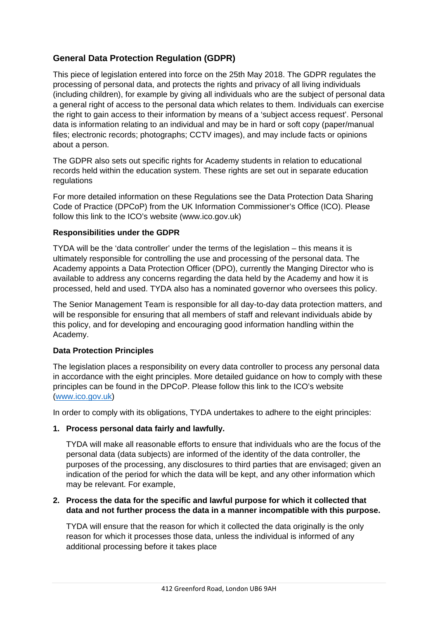# **General Data Protection Regulation (GDPR)**

This piece of legislation entered into force on the 25th May 2018. The GDPR regulates the processing of personal data, and protects the rights and privacy of all living individuals (including children), for example by giving all individuals who are the subject of personal data a general right of access to the personal data which relates to them. Individuals can exercise the right to gain access to their information by means of a 'subject access request'. Personal data is information relating to an individual and may be in hard or soft copy (paper/manual files; electronic records; photographs; CCTV images), and may include facts or opinions about a person.

The GDPR also sets out specific rights for Academy students in relation to educational records held within the education system. These rights are set out in separate education regulations

For more detailed information on these Regulations see the Data Protection Data Sharing Code of Practice (DPCoP) from the UK Information Commissioner's Office (ICO). Please follow this link to the ICO's website (www.ico.gov.uk)

#### **Responsibilities under the GDPR**

TYDA will be the 'data controller' under the terms of the legislation – this means it is ultimately responsible for controlling the use and processing of the personal data. The Academy appoints a Data Protection Officer (DPO), currently the Manging Director who is available to address any concerns regarding the data held by the Academy and how it is processed, held and used. TYDA also has a nominated governor who oversees this policy.

The Senior Management Team is responsible for all day-to-day data protection matters, and will be responsible for ensuring that all members of staff and relevant individuals abide by this policy, and for developing and encouraging good information handling within the Academy.

#### **Data Protection Principles**

The legislation places a responsibility on every data controller to process any personal data in accordance with the eight principles. More detailed guidance on how to comply with these principles can be found in the DPCoP. Please follow this link to the ICO's website [\(www.ico.gov.uk\)](http://www.ico.gov.uk/)

In order to comply with its obligations, TYDA undertakes to adhere to the eight principles:

#### **1. Process personal data fairly and lawfully.**

TYDA will make all reasonable efforts to ensure that individuals who are the focus of the personal data (data subjects) are informed of the identity of the data controller, the purposes of the processing, any disclosures to third parties that are envisaged; given an indication of the period for which the data will be kept, and any other information which may be relevant. For example,

#### **2. Process the data for the specific and lawful purpose for which it collected that data and not further process the data in a manner incompatible with this purpose.**

TYDA will ensure that the reason for which it collected the data originally is the only reason for which it processes those data, unless the individual is informed of any additional processing before it takes place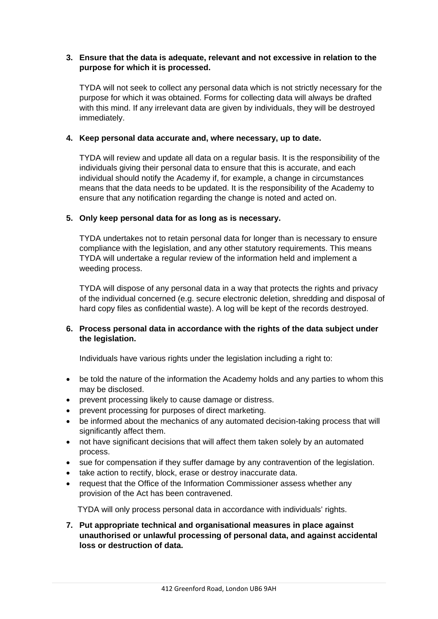#### **3. Ensure that the data is adequate, relevant and not excessive in relation to the purpose for which it is processed.**

TYDA will not seek to collect any personal data which is not strictly necessary for the purpose for which it was obtained. Forms for collecting data will always be drafted with this mind. If any irrelevant data are given by individuals, they will be destroyed immediately.

#### **4. Keep personal data accurate and, where necessary, up to date.**

TYDA will review and update all data on a regular basis. It is the responsibility of the individuals giving their personal data to ensure that this is accurate, and each individual should notify the Academy if, for example, a change in circumstances means that the data needs to be updated. It is the responsibility of the Academy to ensure that any notification regarding the change is noted and acted on.

#### **5. Only keep personal data for as long as is necessary.**

TYDA undertakes not to retain personal data for longer than is necessary to ensure compliance with the legislation, and any other statutory requirements. This means TYDA will undertake a regular review of the information held and implement a weeding process.

TYDA will dispose of any personal data in a way that protects the rights and privacy of the individual concerned (e.g. secure electronic deletion, shredding and disposal of hard copy files as confidential waste). A log will be kept of the records destroyed.

#### **6. Process personal data in accordance with the rights of the data subject under the legislation.**

Individuals have various rights under the legislation including a right to:

- be told the nature of the information the Academy holds and any parties to whom this may be disclosed.
- prevent processing likely to cause damage or distress.
- prevent processing for purposes of direct marketing.
- be informed about the mechanics of any automated decision-taking process that will significantly affect them.
- not have significant decisions that will affect them taken solely by an automated process.
- sue for compensation if they suffer damage by any contravention of the legislation.
- take action to rectify, block, erase or destroy inaccurate data.
- request that the Office of the Information Commissioner assess whether any provision of the Act has been contravened.

TYDA will only process personal data in accordance with individuals' rights.

**7. Put appropriate technical and organisational measures in place against unauthorised or unlawful processing of personal data, and against accidental loss or destruction of data.**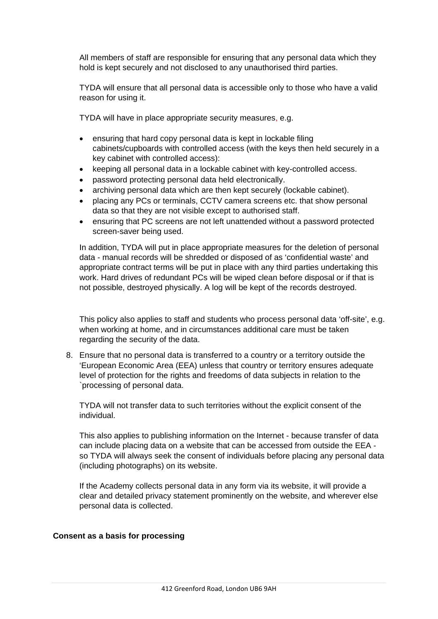All members of staff are responsible for ensuring that any personal data which they hold is kept securely and not disclosed to any unauthorised third parties.

TYDA will ensure that all personal data is accessible only to those who have a valid reason for using it.

TYDA will have in place appropriate security measures, e.g.

- ensuring that hard copy personal data is kept in lockable filing cabinets/cupboards with controlled access (with the keys then held securely in a key cabinet with controlled access):
- keeping all personal data in a lockable cabinet with key-controlled access.
- password protecting personal data held electronically.
- archiving personal data which are then kept securely (lockable cabinet).
- placing any PCs or terminals, CCTV camera screens etc. that show personal data so that they are not visible except to authorised staff.
- ensuring that PC screens are not left unattended without a password protected screen-saver being used.

In addition, TYDA will put in place appropriate measures for the deletion of personal data - manual records will be shredded or disposed of as 'confidential waste' and appropriate contract terms will be put in place with any third parties undertaking this work. Hard drives of redundant PCs will be wiped clean before disposal or if that is not possible, destroyed physically. A log will be kept of the records destroyed.

This policy also applies to staff and students who process personal data 'off-site', e.g. when working at home, and in circumstances additional care must be taken regarding the security of the data.

8. Ensure that no personal data is transferred to a country or a territory outside the 'European Economic Area (EEA) unless that country or territory ensures adequate level of protection for the rights and freedoms of data subjects in relation to the `processing of personal data.

TYDA will not transfer data to such territories without the explicit consent of the individual.

This also applies to publishing information on the Internet - because transfer of data can include placing data on a website that can be accessed from outside the EEA so TYDA will always seek the consent of individuals before placing any personal data (including photographs) on its website.

If the Academy collects personal data in any form via its website, it will provide a clear and detailed privacy statement prominently on the website, and wherever else personal data is collected.

#### **Consent as a basis for processing**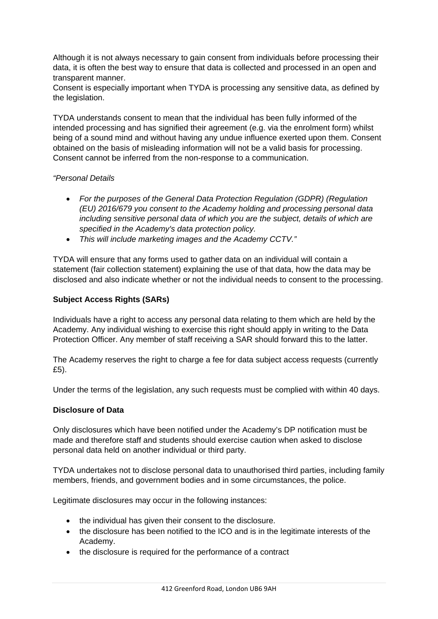Although it is not always necessary to gain consent from individuals before processing their data, it is often the best way to ensure that data is collected and processed in an open and transparent manner.

Consent is especially important when TYDA is processing any sensitive data, as defined by the legislation.

TYDA understands consent to mean that the individual has been fully informed of the intended processing and has signified their agreement (e.g. via the enrolment form) whilst being of a sound mind and without having any undue influence exerted upon them. Consent obtained on the basis of misleading information will not be a valid basis for processing. Consent cannot be inferred from the non-response to a communication.

#### *"Personal Details*

- *For the purposes of the General Data Protection Regulation (GDPR) (Regulation (EU) 2016/679 you consent to the Academy holding and processing personal data including sensitive personal data of which you are the subject, details of which are specified in the Academy's data protection policy.*
- *This will include marketing images and the Academy CCTV."*

TYDA will ensure that any forms used to gather data on an individual will contain a statement (fair collection statement) explaining the use of that data, how the data may be disclosed and also indicate whether or not the individual needs to consent to the processing.

## **Subject Access Rights (SARs)**

Individuals have a right to access any personal data relating to them which are held by the Academy. Any individual wishing to exercise this right should apply in writing to the Data Protection Officer. Any member of staff receiving a SAR should forward this to the latter.

The Academy reserves the right to charge a fee for data subject access requests (currently £5).

Under the terms of the legislation, any such requests must be complied with within 40 days.

#### **Disclosure of Data**

Only disclosures which have been notified under the Academy's DP notification must be made and therefore staff and students should exercise caution when asked to disclose personal data held on another individual or third party.

TYDA undertakes not to disclose personal data to unauthorised third parties, including family members, friends, and government bodies and in some circumstances, the police.

Legitimate disclosures may occur in the following instances:

- the individual has given their consent to the disclosure.
- the disclosure has been notified to the ICO and is in the legitimate interests of the Academy.
- the disclosure is required for the performance of a contract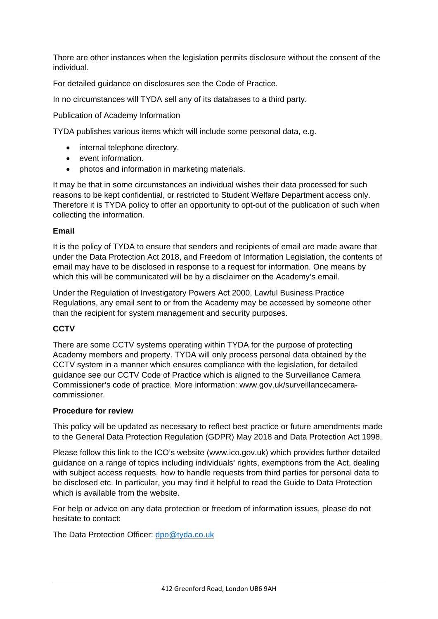There are other instances when the legislation permits disclosure without the consent of the individual.

For detailed guidance on disclosures see the Code of Practice.

In no circumstances will TYDA sell any of its databases to a third party.

Publication of Academy Information

TYDA publishes various items which will include some personal data, e.g.

- internal telephone directory.
- event information.
- photos and information in marketing materials.

It may be that in some circumstances an individual wishes their data processed for such reasons to be kept confidential, or restricted to Student Welfare Department access only. Therefore it is TYDA policy to offer an opportunity to opt-out of the publication of such when collecting the information.

#### **Email**

It is the policy of TYDA to ensure that senders and recipients of email are made aware that under the Data Protection Act 2018, and Freedom of Information Legislation, the contents of email may have to be disclosed in response to a request for information. One means by which this will be communicated will be by a disclaimer on the Academy's email.

Under the Regulation of Investigatory Powers Act 2000, Lawful Business Practice Regulations, any email sent to or from the Academy may be accessed by someone other than the recipient for system management and security purposes.

#### **CCTV**

There are some CCTV systems operating within TYDA for the purpose of protecting Academy members and property. TYDA will only process personal data obtained by the CCTV system in a manner which ensures compliance with the legislation, for detailed guidance see our CCTV Code of Practice which is aligned to the Surveillance Camera Commissioner's code of practice. More information: www.gov.uk/surveillancecameracommissioner.

#### **Procedure for review**

This policy will be updated as necessary to reflect best practice or future amendments made to the General Data Protection Regulation (GDPR) May 2018 and Data Protection Act 1998.

Please follow this link to the ICO's website (www.ico.gov.uk) which provides further detailed guidance on a range of topics including individuals' rights, exemptions from the Act, dealing with subject access requests, how to handle requests from third parties for personal data to be disclosed etc. In particular, you may find it helpful to read the Guide to Data Protection which is available from the website.

For help or advice on any data protection or freedom of information issues, please do not hesitate to contact:

The Data Protection Officer: [dpo@tyda.co.uk](mailto:dpo@tyda.co.uk)